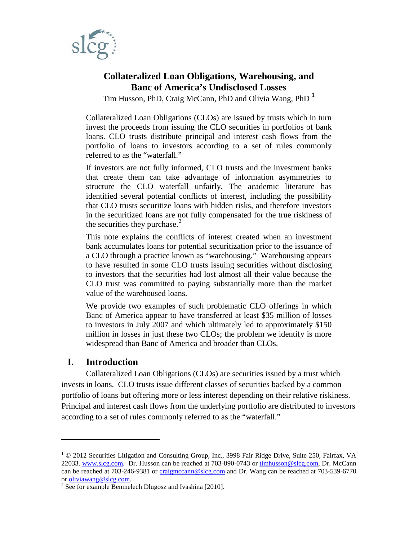

# **Collateralized Loan Obligations, Warehousing, and Banc of America's Undisclosed Losses**

Tim Husson, PhD, Craig McCann, PhD and Olivia Wang, PhD **[1](#page-0-0)**

Collateralized Loan Obligations (CLOs) are issued by trusts which in turn invest the proceeds from issuing the CLO securities in portfolios of bank loans. CLO trusts distribute principal and interest cash flows from the portfolio of loans to investors according to a set of rules commonly referred to as the "waterfall."

If investors are not fully informed, CLO trusts and the investment banks that create them can take advantage of information asymmetries to structure the CLO waterfall unfairly. The academic literature has identified several potential conflicts of interest, including the possibility that CLO trusts securitize loans with hidden risks, and therefore investors in the securitized loans are not fully compensated for the true riskiness of the securities they purchase. $2$ 

This note explains the conflicts of interest created when an investment bank accumulates loans for potential securitization prior to the issuance of a CLO through a practice known as "warehousing." Warehousing appears to have resulted in some CLO trusts issuing securities without disclosing to investors that the securities had lost almost all their value because the CLO trust was committed to paying substantially more than the market value of the warehoused loans.

We provide two examples of such problematic CLO offerings in which Banc of America appear to have transferred at least \$35 million of losses to investors in July 2007 and which ultimately led to approximately \$150 million in losses in just these two CLOs; the problem we identify is more widespread than Banc of America and broader than CLOs.

## **I. Introduction**

 $\overline{a}$ 

Collateralized Loan Obligations (CLOs) are securities issued by a trust which invests in loans. CLO trusts issue different classes of securities backed by a common portfolio of loans but offering more or less interest depending on their relative riskiness. Principal and interest cash flows from the underlying portfolio are distributed to investors according to a set of rules commonly referred to as the "waterfall."

<span id="page-0-0"></span> $1 \odot 2012$  Securities Litigation and Consulting Group, Inc., 3998 Fair Ridge Drive, Suite 250, Fairfax, VA 22033. [www.slcg.com.](http://www.slcg.com/) Dr. Husson can be reached at 703-890-0743 or [timhusson@slcg.com,](mailto:timhusson@slcg.com) Dr. McCann can be reached at 703-246-9381 or  $\frac{cralignccam@slcg.com}{cralignccam@slcg.com}$  and Dr. Wang can be reached at 703-539-6770 or oliviawang@slcg.com.

<span id="page-0-1"></span><sup>&</sup>lt;sup>2</sup> See for example Benmelech Dlugosz and Ivashina [2010].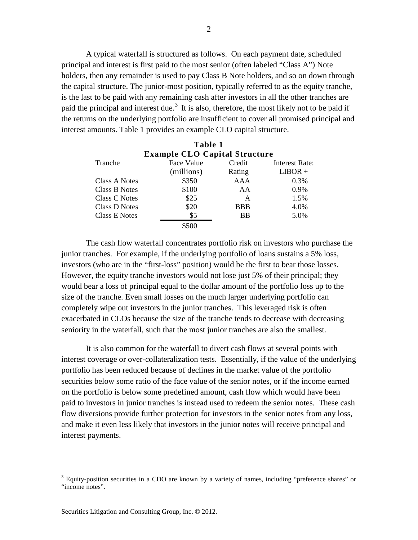A typical waterfall is structured as follows. On each payment date, scheduled principal and interest is first paid to the most senior (often labeled "Class A") Note holders, then any remainder is used to pay Class B Note holders, and so on down through the capital structure. The junior-most position, typically referred to as the equity tranche, is the last to be paid with any remaining cash after investors in all the other tranches are paid the principal and interest due.<sup>[3](#page-1-0)</sup> It is also, therefore, the most likely not to be paid if the returns on the underlying portfolio are insufficient to cover all promised principal and interest amounts. Table 1 provides an example CLO capital structure.

|                                      | Table 1    |            |                |  |  |  |  |
|--------------------------------------|------------|------------|----------------|--|--|--|--|
| <b>Example CLO Capital Structure</b> |            |            |                |  |  |  |  |
| Tranche                              | Face Value | Credit     | Interest Rate: |  |  |  |  |
|                                      | (millions) | Rating     | $LIBOR +$      |  |  |  |  |
| Class A Notes                        | \$350      | AAA        | 0.3%           |  |  |  |  |
| Class B Notes                        | \$100      | AA         | $0.9\%$        |  |  |  |  |
| Class C Notes                        | \$25       | A          | 1.5%           |  |  |  |  |
| Class D Notes                        | \$20       | <b>BBB</b> | 4.0%           |  |  |  |  |
| <b>Class E Notes</b>                 | \$5        | <b>BB</b>  | 5.0%           |  |  |  |  |
|                                      | \$500      |            |                |  |  |  |  |

The cash flow waterfall concentrates portfolio risk on investors who purchase the junior tranches. For example, if the underlying portfolio of loans sustains a 5% loss, investors (who are in the "first-loss" position) would be the first to bear those losses. However, the equity tranche investors would not lose just 5% of their principal; they would bear a loss of principal equal to the dollar amount of the portfolio loss up to the size of the tranche. Even small losses on the much larger underlying portfolio can completely wipe out investors in the junior tranches. This leveraged risk is often exacerbated in CLOs because the size of the tranche tends to decrease with decreasing seniority in the waterfall, such that the most junior tranches are also the smallest.

It is also common for the waterfall to divert cash flows at several points with interest coverage or over-collateralization tests. Essentially, if the value of the underlying portfolio has been reduced because of declines in the market value of the portfolio securities below some ratio of the face value of the senior notes, or if the income earned on the portfolio is below some predefined amount, cash flow which would have been paid to investors in junior tranches is instead used to redeem the senior notes. These cash flow diversions provide further protection for investors in the senior notes from any loss, and make it even less likely that investors in the junior notes will receive principal and interest payments.

<span id="page-1-0"></span> $3$  Equity-position securities in a CDO are known by a variety of names, including "preference shares" or "income notes".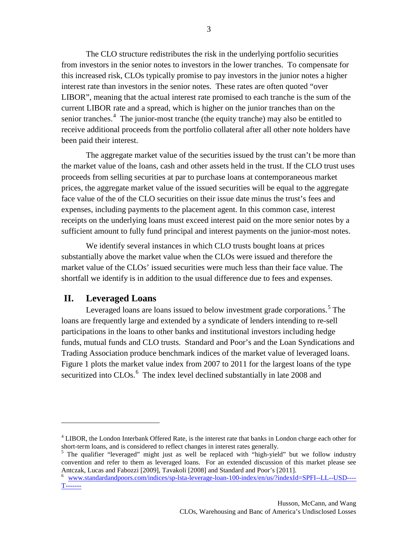The CLO structure redistributes the risk in the underlying portfolio securities from investors in the senior notes to investors in the lower tranches. To compensate for this increased risk, CLOs typically promise to pay investors in the junior notes a higher interest rate than investors in the senior notes. These rates are often quoted "over LIBOR", meaning that the actual interest rate promised to each tranche is the sum of the current LIBOR rate and a spread, which is higher on the junior tranches than on the senior tranches.<sup>[4](#page-2-0)</sup> The junior-most tranche (the equity tranche) may also be entitled to receive additional proceeds from the portfolio collateral after all other note holders have been paid their interest.

The aggregate market value of the securities issued by the trust can't be more than the market value of the loans, cash and other assets held in the trust. If the CLO trust uses proceeds from selling securities at par to purchase loans at contemporaneous market prices, the aggregate market value of the issued securities will be equal to the aggregate face value of the of the CLO securities on their issue date minus the trust's fees and expenses, including payments to the placement agent. In this common case, interest receipts on the underlying loans must exceed interest paid on the more senior notes by a sufficient amount to fully fund principal and interest payments on the junior-most notes.

We identify several instances in which CLO trusts bought loans at prices substantially above the market value when the CLOs were issued and therefore the market value of the CLOs' issued securities were much less than their face value. The shortfall we identify is in addition to the usual difference due to fees and expenses.

#### **II. Leveraged Loans**

 $\overline{a}$ 

Leveraged loans are loans issued to below investment grade corporations.<sup>[5](#page-2-1)</sup> The loans are frequently large and extended by a syndicate of lenders intending to re-sell participations in the loans to other banks and institutional investors including hedge funds, mutual funds and CLO trusts. Standard and Poor's and the Loan Syndications and Trading Association produce benchmark indices of the market value of leveraged loans. Figure 1 plots the market value index from 2007 to 2011 for the largest loans of the type securitized into CLOs.<sup>[6](#page-2-2)</sup> The index level declined substantially in late 2008 and

<span id="page-2-0"></span><sup>&</sup>lt;sup>4</sup> LIBOR, the London Interbank Offered Rate, is the interest rate that banks in London charge each other for short-term loans, and is considered to reflect changes in interest rates generally.

<span id="page-2-1"></span><sup>&</sup>lt;sup>5</sup> The qualifier "leveraged" might just as well be replaced with "high-yield" but we follow industry convention and refer to them as leveraged loans. For an extended discussion of this market please see Antczak, Lucas and Fabozzi [2009], Tavakoli [2008] and Standard and Poor's [2011].

<span id="page-2-2"></span><sup>6</sup> [www.standardandpoors.com/indices/sp-lsta-leverage-loan-100-index/en/us/?indexId=SPFI--LL--USD----](http://www.standardandpoors.com/indices/sp-lsta-leverage-loan-100-index/en/us/?indexId=SPFI--LL--USD----T-------) [T-------](http://www.standardandpoors.com/indices/sp-lsta-leverage-loan-100-index/en/us/?indexId=SPFI--LL--USD----T-------)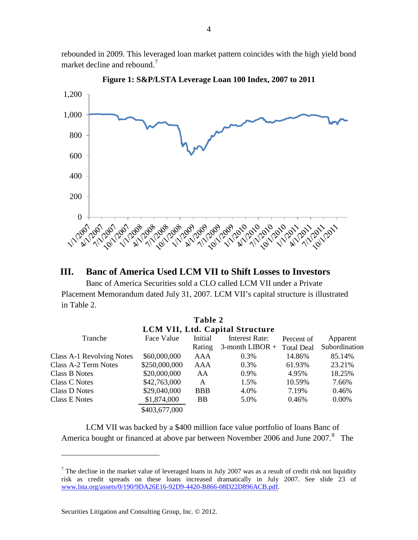rebounded in 2009. This leveraged loan market pattern coincides with the high yield bond market decline and rebound.<sup>[7](#page-3-0)</sup>



**Figure 1: S&P/LSTA Leverage Loan 100 Index, 2007 to 2011**

## **III. Banc of America Used LCM VII to Shift Losses to Investors**

Banc of America Securities sold a CLO called LCM VII under a Private Placement Memorandum dated July 31, 2007. LCM VII's capital structure is illustrated in Table 2.

**Table 2**

| <b>LCM VII, Ltd. Capital Structure</b> |               |            |                    |                   |               |  |  |  |
|----------------------------------------|---------------|------------|--------------------|-------------------|---------------|--|--|--|
| Tranche                                | Face Value    | Initial    | Interest Rate:     | Percent of        | Apparent      |  |  |  |
|                                        |               | Rating     | $3$ -month LIBOR + | <b>Total Deal</b> | Subordination |  |  |  |
| Class A-1 Revolving Notes              | \$60,000,000  | AAA        | 0.3%               | 14.86%            | 85.14%        |  |  |  |
| Class A-2 Term Notes                   | \$250,000,000 | AAA        | 0.3%               | 61.93%            | 23.21%        |  |  |  |
| Class B Notes                          | \$20,000,000  | AA         | 0.9%               | 4.95%             | 18.25%        |  |  |  |
| Class C Notes                          | \$42,763,000  | A          | 1.5%               | 10.59%            | 7.66%         |  |  |  |
| Class D Notes                          | \$29,040,000  | <b>BBB</b> | 4.0%               | 7.19%             | 0.46%         |  |  |  |
| Class E Notes                          | \$1,874,000   | <b>BB</b>  | 5.0%               | 0.46%             | $0.00\%$      |  |  |  |
|                                        | \$403,677,000 |            |                    |                   |               |  |  |  |

LCM VII was backed by a \$400 million face value portfolio of loans Banc of America bought or financed at above par between November 2006 and June 2007.<sup>[8](#page-3-1)</sup> The

<span id="page-3-1"></span><span id="page-3-0"></span><sup>&</sup>lt;sup>7</sup> The decline in the market value of leveraged loans in July 2007 was as a result of credit risk not liquidity risk as credit spreads on these loans increased dramatically in July 2007. See slide 23 of [www.lsta.org/assets/0/190/9DA26E16-92D9-4420-B866-08D22D896ACB.pdf.](http://www.lsta.org/assets/0/190/9DA26E16-92D9-4420-B866-08D22D896ACB.pdf)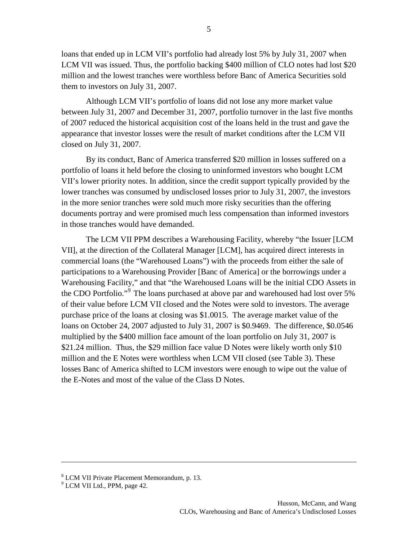loans that ended up in LCM VII's portfolio had already lost 5% by July 31, 2007 when LCM VII was issued. Thus, the portfolio backing \$400 million of CLO notes had lost \$20 million and the lowest tranches were worthless before Banc of America Securities sold them to investors on July 31, 2007.

Although LCM VII's portfolio of loans did not lose any more market value between July 31, 2007 and December 31, 2007, portfolio turnover in the last five months of 2007 reduced the historical acquisition cost of the loans held in the trust and gave the appearance that investor losses were the result of market conditions after the LCM VII closed on July 31, 2007.

By its conduct, Banc of America transferred \$20 million in losses suffered on a portfolio of loans it held before the closing to uninformed investors who bought LCM VII's lower priority notes. In addition, since the credit support typically provided by the lower tranches was consumed by undisclosed losses prior to July 31, 2007, the investors in the more senior tranches were sold much more risky securities than the offering documents portray and were promised much less compensation than informed investors in those tranches would have demanded.

The LCM VII PPM describes a Warehousing Facility, whereby "the Issuer [LCM VII], at the direction of the Collateral Manager [LCM], has acquired direct interests in commercial loans (the "Warehoused Loans") with the proceeds from either the sale of participations to a Warehousing Provider [Banc of America] or the borrowings under a Warehousing Facility," and that "the Warehoused Loans will be the initial CDO Assets in the CDO Portfolio."<sup>[9](#page-4-0)</sup> The loans purchased at above par and warehoused had lost over 5% of their value before LCM VII closed and the Notes were sold to investors. The average purchase price of the loans at closing was \$1.0015. The average market value of the loans on October 24, 2007 adjusted to July 31, 2007 is \$0.9469. The difference, \$0.0546 multiplied by the \$400 million face amount of the loan portfolio on July 31, 2007 is \$21.24 million. Thus, the \$29 million face value D Notes were likely worth only \$10 million and the E Notes were worthless when LCM VII closed (see Table 3). These losses Banc of America shifted to LCM investors were enough to wipe out the value of the E-Notes and most of the value of the Class D Notes.

<sup>8</sup> LCM VII Private Placement Memorandum, p. 13.

<span id="page-4-0"></span><sup>&</sup>lt;sup>9</sup> LCM VII Ltd., PPM, page 42.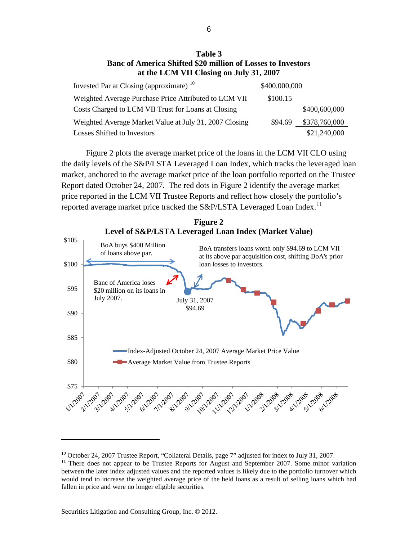#### **Table 3 Banc of America Shifted \$20 million of Losses to Investors at the LCM VII Closing on July 31, 2007**

| Invested Par at Closing (approximate) <sup>10</sup>    | \$400,000,000 |               |
|--------------------------------------------------------|---------------|---------------|
| Weighted Average Purchase Price Attributed to LCM VII  | \$100.15      |               |
| Costs Charged to LCM VII Trust for Loans at Closing    |               | \$400,600,000 |
| Weighted Average Market Value at July 31, 2007 Closing | \$94.69       | \$378,760,000 |
| <b>Losses Shifted to Investors</b>                     |               | \$21,240,000  |

Figure 2 plots the average market price of the loans in the LCM VII CLO using the daily levels of the S&P/LSTA Leveraged Loan Index, which tracks the leveraged loan market, anchored to the average market price of the loan portfolio reported on the Trustee Report dated October 24, 2007. The red dots in Figure 2 identify the average market price reported in the LCM VII Trustee Reports and reflect how closely the portfolio's reported average market price tracked the  $S\&P/LSTA$  Leveraged Loan Index.<sup>[11](#page-5-1)</sup>



<span id="page-5-1"></span><span id="page-5-0"></span><sup>&</sup>lt;sup>10</sup> October 24, 2007 Trustee Report, "Collateral Details, page 7" adjusted for index to July 31, 2007.<br><sup>11</sup> There does not appear to be Trustee Reports for August and September 2007. Some minor variation between the later index adjusted values and the reported values is likely due to the portfolio turnover which would tend to increase the weighted average price of the held loans as a result of selling loans which had fallen in price and were no longer eligible securities.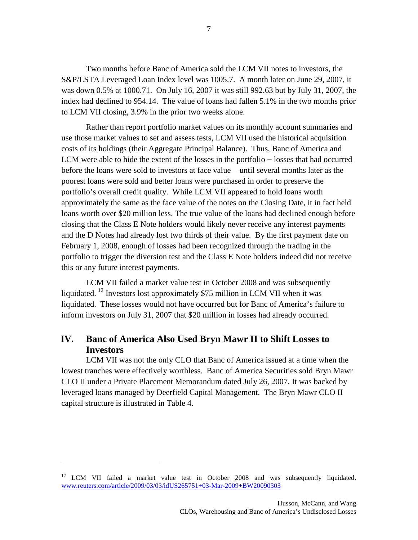Two months before Banc of America sold the LCM VII notes to investors, the S&P/LSTA Leveraged Loan Index level was 1005.7. A month later on June 29, 2007, it was down 0.5% at 1000.71. On July 16, 2007 it was still 992.63 but by July 31, 2007, the index had declined to 954.14. The value of loans had fallen 5.1% in the two months prior to LCM VII closing, 3.9% in the prior two weeks alone.

Rather than report portfolio market values on its monthly account summaries and use those market values to set and assess tests, LCM VII used the historical acquisition costs of its holdings (their Aggregate Principal Balance). Thus, Banc of America and LCM were able to hide the extent of the losses in the portfolio − losses that had occurred before the loans were sold to investors at face value − until several months later as the poorest loans were sold and better loans were purchased in order to preserve the portfolio's overall credit quality. While LCM VII appeared to hold loans worth approximately the same as the face value of the notes on the Closing Date, it in fact held loans worth over \$20 million less. The true value of the loans had declined enough before closing that the Class E Note holders would likely never receive any interest payments and the D Notes had already lost two thirds of their value. By the first payment date on February 1, 2008, enough of losses had been recognized through the trading in the portfolio to trigger the diversion test and the Class E Note holders indeed did not receive this or any future interest payments.

LCM VII failed a market value test in October 2008 and was subsequently liquidated. <sup>[12](#page-6-0)</sup> Investors lost approximately \$75 million in LCM VII when it was liquidated. These losses would not have occurred but for Banc of America's failure to inform investors on July 31, 2007 that \$20 million in losses had already occurred.

# **IV. Banc of America Also Used Bryn Mawr II to Shift Losses to Investors**

LCM VII was not the only CLO that Banc of America issued at a time when the lowest tranches were effectively worthless. Banc of America Securities sold Bryn Mawr CLO II under a Private Placement Memorandum dated July 26, 2007. It was backed by leveraged loans managed by Deerfield Capital Management. The Bryn Mawr CLO II capital structure is illustrated in Table 4.

<span id="page-6-0"></span><sup>&</sup>lt;sup>12</sup> LCM VII failed a market value test in October 2008 and was subsequently liquidated. [www.reuters.com/article/2009/03/03/idUS265751+03-Mar-2009+BW20090303](http://www.reuters.com/article/2009/03/03/idUS265751+03-Mar-2009+BW20090303)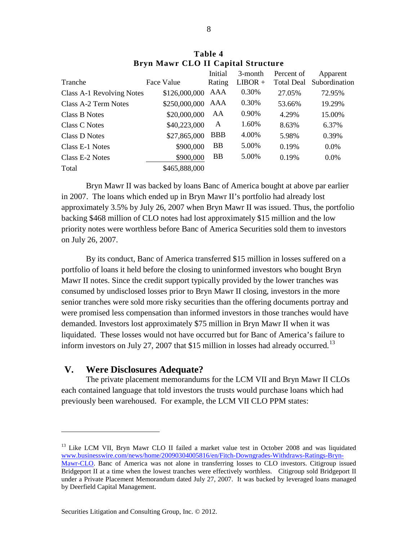|                           |               | Initial    | 3-month   | Percent of | Apparent      |
|---------------------------|---------------|------------|-----------|------------|---------------|
| Tranche                   | Face Value    | Rating     | $LIBOR +$ | Total Deal | Subordination |
| Class A-1 Revolving Notes | \$126,000,000 | AAA        | 0.30%     | 27.05%     | 72.95%        |
| Class A-2 Term Notes      | \$250,000,000 | AAA        | 0.30%     | 53.66%     | 19.29%        |
| Class B Notes             | \$20,000,000  | AA         | 0.90%     | 4.29%      | 15.00%        |
| Class C Notes             | \$40,223,000  | A          | 1.60%     | 8.63%      | 6.37%         |
| Class D Notes             | \$27,865,000  | <b>BBB</b> | 4.00%     | 5.98%      | 0.39%         |
| Class E-1 Notes           | \$900,000     | <b>BB</b>  | 5.00%     | 0.19%      | $0.0\%$       |
| Class E-2 Notes           | \$900,000     | <b>BB</b>  | 5.00%     | 0.19%      | $0.0\%$       |
| Total                     | \$465,888,000 |            |           |            |               |

**Table 4 Bryn Mawr CLO II Capital Structure**

Bryn Mawr II was backed by loans Banc of America bought at above par earlier in 2007. The loans which ended up in Bryn Mawr II's portfolio had already lost approximately 3.5% by July 26, 2007 when Bryn Mawr II was issued. Thus, the portfolio backing \$468 million of CLO notes had lost approximately \$15 million and the low priority notes were worthless before Banc of America Securities sold them to investors on July 26, 2007.

By its conduct, Banc of America transferred \$15 million in losses suffered on a portfolio of loans it held before the closing to uninformed investors who bought Bryn Mawr II notes. Since the credit support typically provided by the lower tranches was consumed by undisclosed losses prior to Bryn Mawr II closing, investors in the more senior tranches were sold more risky securities than the offering documents portray and were promised less compensation than informed investors in those tranches would have demanded. Investors lost approximately \$75 million in Bryn Mawr II when it was liquidated. These losses would not have occurred but for Banc of America's failure to inform investors on July 27, 2007 that \$15 million in losses had already occurred.<sup>[13](#page-7-0)</sup>

### **V. Were Disclosures Adequate?**

 $\overline{a}$ 

The private placement memorandums for the LCM VII and Bryn Mawr II CLOs each contained language that told investors the trusts would purchase loans which had previously been warehoused. For example, the LCM VII CLO PPM states:

<span id="page-7-0"></span><sup>&</sup>lt;sup>13</sup> Like LCM VII, Bryn Mawr CLO II failed a market value test in October 2008 and was liquidated [www.businesswire.com/news/home/20090304005816/en/Fitch-Downgrades-Withdraws-Ratings-Bryn-](http://www.businesswire.com/news/home/20090304005816/en/Fitch-Downgrades-Withdraws-Ratings-Bryn-Mawr-CLO)

[Mawr-CLO.](http://www.businesswire.com/news/home/20090304005816/en/Fitch-Downgrades-Withdraws-Ratings-Bryn-Mawr-CLO) Banc of America was not alone in transferring losses to CLO investors. Citigroup issued Bridgeport II at a time when the lowest tranches were effectively worthless. Citigroup sold Bridgeport II under a Private Placement Memorandum dated July 27, 2007. It was backed by leveraged loans managed by Deerfield Capital Management.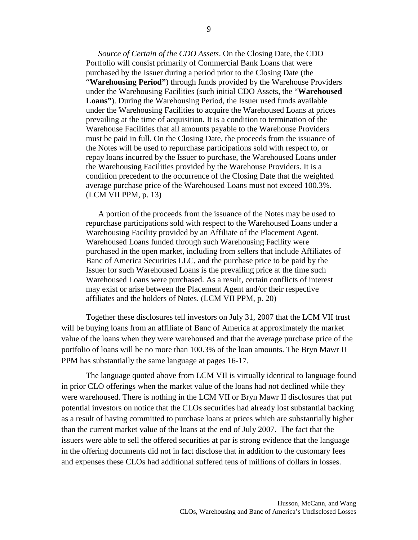*Source of Certain of the CDO Assets*. On the Closing Date, the CDO Portfolio will consist primarily of Commercial Bank Loans that were purchased by the Issuer during a period prior to the Closing Date (the "**Warehousing Period"**) through funds provided by the Warehouse Providers under the Warehousing Facilities (such initial CDO Assets, the "**Warehoused Loans"**). During the Warehousing Period, the Issuer used funds available under the Warehousing Facilities to acquire the Warehoused Loans at prices prevailing at the time of acquisition. It is a condition to termination of the Warehouse Facilities that all amounts payable to the Warehouse Providers must be paid in full. On the Closing Date, the proceeds from the issuance of the Notes will be used to repurchase participations sold with respect to, or repay loans incurred by the Issuer to purchase, the Warehoused Loans under the Warehousing Facilities provided by the Warehouse Providers. It is a condition precedent to the occurrence of the Closing Date that the weighted average purchase price of the Warehoused Loans must not exceed 100.3%. (LCM VII PPM, p. 13)

A portion of the proceeds from the issuance of the Notes may be used to repurchase participations sold with respect to the Warehoused Loans under a Warehousing Facility provided by an Affiliate of the Placement Agent. Warehoused Loans funded through such Warehousing Facility were purchased in the open market, including from sellers that include Affiliates of Banc of America Securities LLC, and the purchase price to be paid by the Issuer for such Warehoused Loans is the prevailing price at the time such Warehoused Loans were purchased. As a result, certain conflicts of interest may exist or arise between the Placement Agent and/or their respective affiliates and the holders of Notes. (LCM VII PPM, p. 20)

Together these disclosures tell investors on July 31, 2007 that the LCM VII trust will be buying loans from an affiliate of Banc of America at approximately the market value of the loans when they were warehoused and that the average purchase price of the portfolio of loans will be no more than 100.3% of the loan amounts. The Bryn Mawr II PPM has substantially the same language at pages 16-17.

The language quoted above from LCM VII is virtually identical to language found in prior CLO offerings when the market value of the loans had not declined while they were warehoused. There is nothing in the LCM VII or Bryn Mawr II disclosures that put potential investors on notice that the CLOs securities had already lost substantial backing as a result of having committed to purchase loans at prices which are substantially higher than the current market value of the loans at the end of July 2007. The fact that the issuers were able to sell the offered securities at par is strong evidence that the language in the offering documents did not in fact disclose that in addition to the customary fees and expenses these CLOs had additional suffered tens of millions of dollars in losses.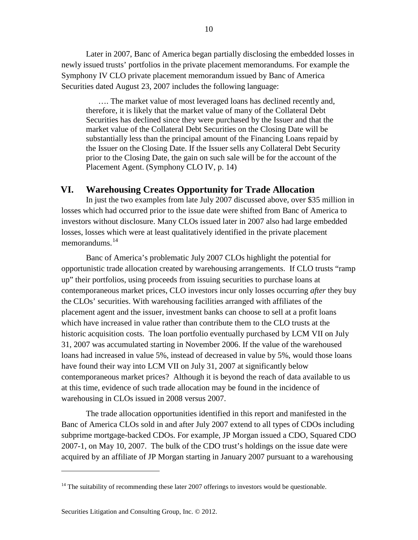Later in 2007, Banc of America began partially disclosing the embedded losses in newly issued trusts' portfolios in the private placement memorandums. For example the Symphony IV CLO private placement memorandum issued by Banc of America Securities dated August 23, 2007 includes the following language:

…. The market value of most leveraged loans has declined recently and, therefore, it is likely that the market value of many of the Collateral Debt Securities has declined since they were purchased by the Issuer and that the market value of the Collateral Debt Securities on the Closing Date will be substantially less than the principal amount of the Financing Loans repaid by the Issuer on the Closing Date. If the Issuer sells any Collateral Debt Security prior to the Closing Date, the gain on such sale will be for the account of the Placement Agent. (Symphony CLO IV, p. 14)

### **VI. Warehousing Creates Opportunity for Trade Allocation**

In just the two examples from late July 2007 discussed above, over \$35 million in losses which had occurred prior to the issue date were shifted from Banc of America to investors without disclosure. Many CLOs issued later in 2007 also had large embedded losses, losses which were at least qualitatively identified in the private placement memorandums.<sup>[14](#page-9-0)</sup>

Banc of America's problematic July 2007 CLOs highlight the potential for opportunistic trade allocation created by warehousing arrangements. If CLO trusts "ramp up" their portfolios, using proceeds from issuing securities to purchase loans at contemporaneous market prices, CLO investors incur only losses occurring *after* they buy the CLOs' securities. With warehousing facilities arranged with affiliates of the placement agent and the issuer, investment banks can choose to sell at a profit loans which have increased in value rather than contribute them to the CLO trusts at the historic acquisition costs. The loan portfolio eventually purchased by LCM VII on July 31, 2007 was accumulated starting in November 2006. If the value of the warehoused loans had increased in value 5%, instead of decreased in value by 5%, would those loans have found their way into LCM VII on July 31, 2007 at significantly below contemporaneous market prices? Although it is beyond the reach of data available to us at this time, evidence of such trade allocation may be found in the incidence of warehousing in CLOs issued in 2008 versus 2007.

The trade allocation opportunities identified in this report and manifested in the Banc of America CLOs sold in and after July 2007 extend to all types of CDOs including subprime mortgage-backed CDOs. For example, JP Morgan issued a CDO, Squared CDO 2007-1, on May 10, 2007. The bulk of the CDO trust's holdings on the issue date were acquired by an affiliate of JP Morgan starting in January 2007 pursuant to a warehousing

<span id="page-9-0"></span> $14$  The suitability of recommending these later 2007 offerings to investors would be questionable.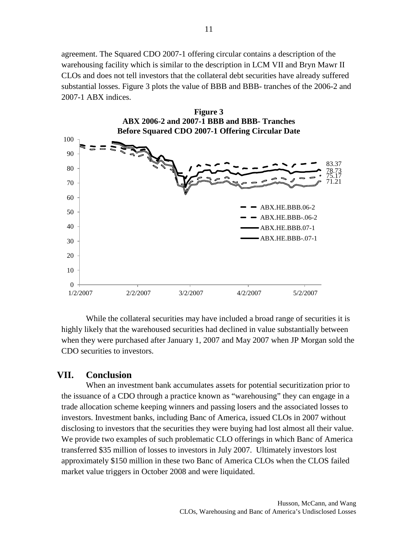agreement. The Squared CDO 2007-1 offering circular contains a description of the warehousing facility which is similar to the description in LCM VII and Bryn Mawr II CLOs and does not tell investors that the collateral debt securities have already suffered substantial losses. Figure 3 plots the value of BBB and BBB- tranches of the 2006-2 and 2007-1 ABX indices.



While the collateral securities may have included a broad range of securities it is highly likely that the warehoused securities had declined in value substantially between when they were purchased after January 1, 2007 and May 2007 when JP Morgan sold the CDO securities to investors.

### **VII. Conclusion**

When an investment bank accumulates assets for potential securitization prior to the issuance of a CDO through a practice known as "warehousing" they can engage in a trade allocation scheme keeping winners and passing losers and the associated losses to investors. Investment banks, including Banc of America, issued CLOs in 2007 without disclosing to investors that the securities they were buying had lost almost all their value. We provide two examples of such problematic CLO offerings in which Banc of America transferred \$35 million of losses to investors in July 2007. Ultimately investors lost approximately \$150 million in these two Banc of America CLOs when the CLOS failed market value triggers in October 2008 and were liquidated.